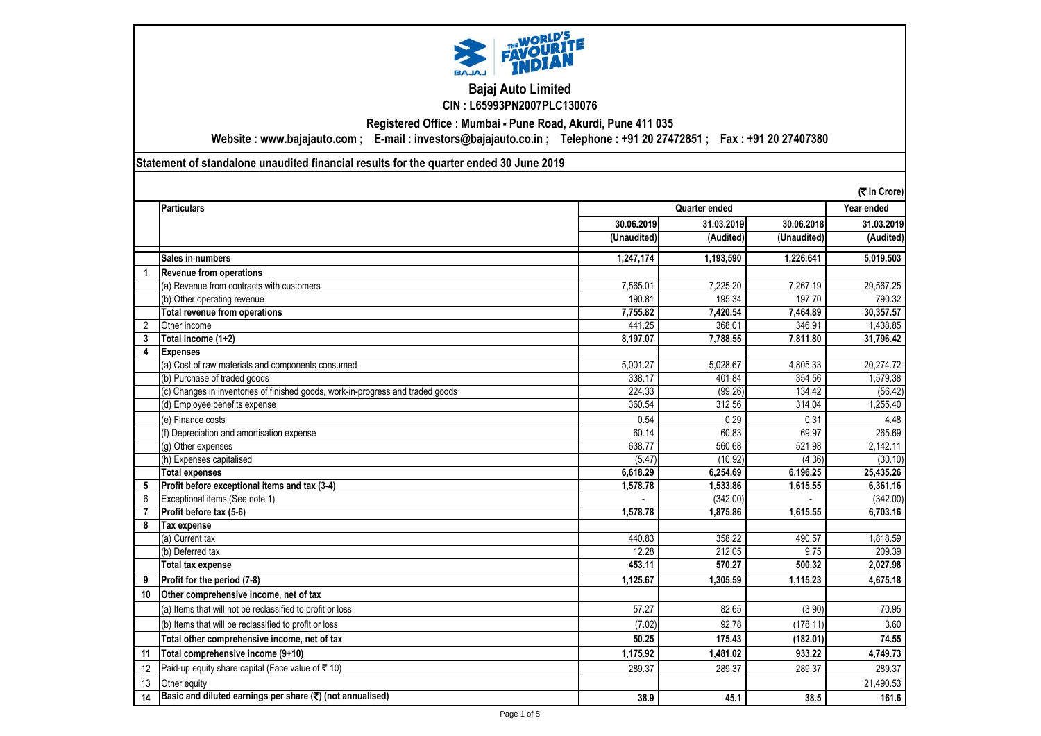

## **Bajaj Auto Limited CIN : L65993PN2007PLC130076**

**Registered Office : Mumbai - Pune Road, Akurdi, Pune 411 035**

**Website : www.bajajauto.com ; E-mail : investors@bajajauto.co.in ; Telephone : +91 20 27472851 ; Fax : +91 20 27407380**

**Statement of standalone unaudited financial results for the quarter ended 30 June 2019**

|                      | (そ In Crore)                                                                    |             |               |             |            |
|----------------------|---------------------------------------------------------------------------------|-------------|---------------|-------------|------------|
|                      | <b>Particulars</b>                                                              |             | Quarter ended |             |            |
|                      |                                                                                 | 30.06.2019  | 31.03.2019    | 30.06.2018  | 31.03.2019 |
|                      |                                                                                 | (Unaudited) | (Audited)     | (Unaudited) | (Audited)  |
|                      | Sales in numbers                                                                | 1,247,174   | 1,193,590     | 1.226.641   | 5,019,503  |
| $\blacktriangleleft$ | <b>Revenue from operations</b>                                                  |             |               |             |            |
|                      | (a) Revenue from contracts with customers                                       | 7,565.01    | 7.225.20      | 7,267.19    | 29,567.25  |
|                      | (b) Other operating revenue                                                     | 190.81      | 195.34        | 197.70      | 790.32     |
|                      | Total revenue from operations                                                   | 7,755.82    | 7,420.54      | 7,464.89    | 30,357.57  |
| $\overline{2}$       | Other income                                                                    | 441.25      | 368.01        | 346.91      | 1,438.85   |
| 3                    | Total income (1+2)                                                              | 8.197.07    | 7.788.55      | 7,811.80    | 31,796.42  |
| 4                    | <b>Expenses</b>                                                                 |             |               |             |            |
|                      | (a) Cost of raw materials and components consumed                               | 5.001.27    | 5.028.67      | 4.805.33    | 20,274.72  |
|                      | (b) Purchase of traded goods                                                    | 338.17      | 401.84        | 354.56      | 1,579.38   |
|                      | (c) Changes in inventories of finished goods, work-in-progress and traded goods | 224.33      | (99.26)       | 134.42      | (56.42)    |
|                      | (d) Employee benefits expense                                                   | 360.54      | 312.56        | 314.04      | 1,255.40   |
|                      | (e) Finance costs                                                               | 0.54        | 0.29          | 0.31        | 4.48       |
|                      | (f) Depreciation and amortisation expense                                       | 60.14       | 60.83         | 69.97       | 265.69     |
|                      | (g) Other expenses                                                              | 638.77      | 560.68        | 521.98      | 2.142.11   |
|                      | (h) Expenses capitalised                                                        | (5.47)      | (10.92)       | (4.36)      | (30.10)    |
|                      | Total expenses                                                                  | 6.618.29    | 6,254.69      | 6,196.25    | 25,435.26  |
| 5                    | Profit before exceptional items and tax (3-4)                                   | 1,578.78    | 1,533.86      | 1,615.55    | 6,361.16   |
| 6                    | Exceptional items (See note 1)                                                  |             | (342.00)      |             | (342.00)   |
| $\overline{7}$       | Profit before tax (5-6)                                                         | 1,578.78    | 1.875.86      | 1.615.55    | 6.703.16   |
| 8                    | <b>Tax expense</b>                                                              |             |               |             |            |
|                      | (a) Current tax                                                                 | 440.83      | 358.22        | 490.57      | 1,818.59   |
|                      | (b) Deferred tax                                                                | 12.28       | 212.05        | 9.75        | 209.39     |
|                      | <b>Total tax expense</b>                                                        | 453.11      | 570.27        | 500.32      | 2,027.98   |
| 9                    | Profit for the period (7-8)                                                     | 1.125.67    | 1.305.59      | 1.115.23    | 4,675.18   |
| 10                   | Other comprehensive income, net of tax                                          |             |               |             |            |
|                      | (a) Items that will not be reclassified to profit or loss                       | 57.27       | 82.65         | (3.90)      | 70.95      |
|                      | (b) Items that will be reclassified to profit or loss                           | (7.02)      | 92.78         | (178.11)    | 3.60       |
|                      | Total other comprehensive income, net of tax                                    | 50.25       | 175.43        | (182.01)    | 74.55      |
| 11                   | Total comprehensive income (9+10)                                               | 1.175.92    | 1.481.02      | 933.22      | 4,749.73   |
| 12                   | Paid-up equity share capital (Face value of ₹ 10)                               | 289.37      | 289.37        | 289.37      | 289.37     |
| 13                   | Other equity                                                                    |             |               |             | 21,490.53  |
| 14                   | Basic and diluted earnings per share (₹) (not annualised)                       | 38.9        | 45.1          | 38.5        | 161.6      |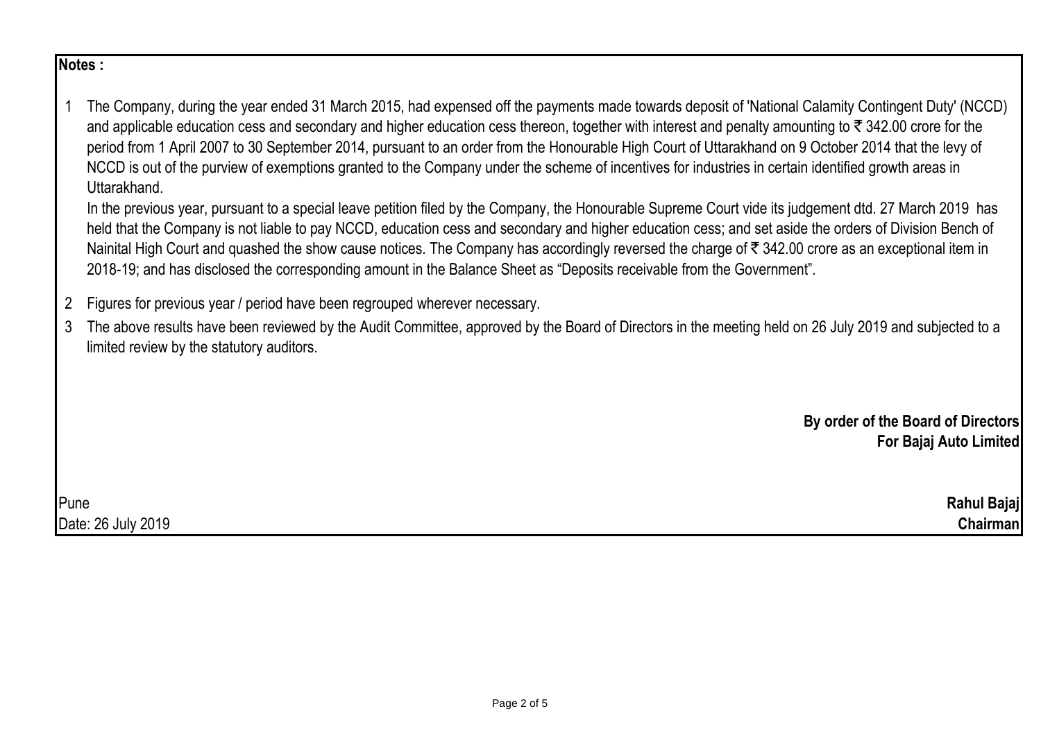# **Notes :**

1 The Company, during the year ended 31 March 2015, had expensed off the payments made towards deposit of 'National Calamity Contingent Duty' (NCCD) and applicable education cess and secondary and higher education cess thereon, together with interest and penalty amounting to  $\bar{\tau}$  342.00 crore for the period from 1 April 2007 to 30 September 2014, pursuant to an order from the Honourable High Court of Uttarakhand on 9 October 2014 that the levy of NCCD is out of the purview of exemptions granted to the Company under the scheme of incentives for industries in certain identified growth areas in Uttarakhand.

In the previous year, pursuant to a special leave petition filed by the Company, the Honourable Supreme Court vide its judgement dtd. 27 March 2019 has held that the Company is not liable to pay NCCD, education cess and secondary and higher education cess; and set aside the orders of Division Bench of Nainital High Court and quashed the show cause notices. The Company has accordingly reversed the charge of  $\bar{\tau}$  342.00 crore as an exceptional item in 2018-19; and has disclosed the corresponding amount in the Balance Sheet as "Deposits receivable from the Government".

- 2 Figures for previous year / period have been regrouped wherever necessary.
- 3 The above results have been reviewed by the Audit Committee, approved by the Board of Directors in the meeting held on 26 July 2019 and subjected to a limited review by the statutory auditors.

**By order of the Board of Directors For Bajaj Auto Limited**

| Pune               | Rahul Bajaj |
|--------------------|-------------|
| Date: 26 July 2019 | Chairman    |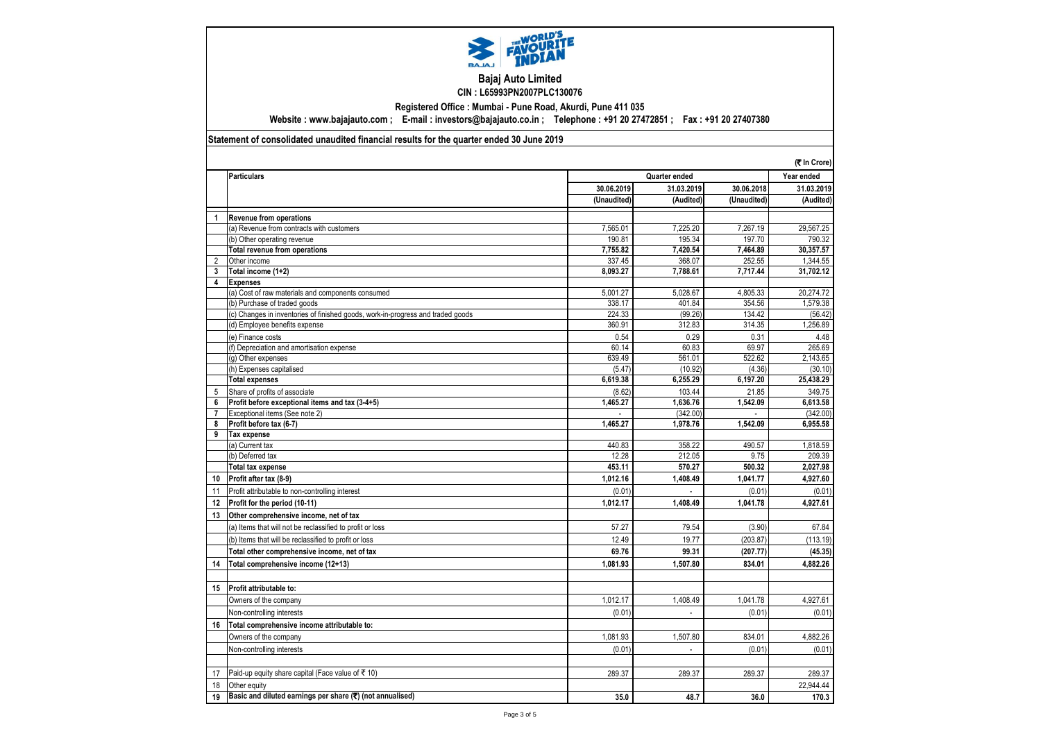

#### **Bajaj Auto Limited CIN : L65993PN2007PLC130076**

**Registered Office : Mumbai - Pune Road, Akurdi, Pune 411 035**

**Website : www.bajajauto.com ; E-mail : investors@bajajauto.co.in ; Telephone : +91 20 27472851 ; Fax : +91 20 27407380**

#### **Statement of consolidated unaudited financial results for the quarter ended 30 June 2019**

|                         |                                                                                 |                  |                             |                    | (そ In Crore)         |  |
|-------------------------|---------------------------------------------------------------------------------|------------------|-----------------------------|--------------------|----------------------|--|
|                         | <b>Particulars</b>                                                              |                  | Quarter ended               |                    | Year ended           |  |
|                         |                                                                                 | 30.06.2019       | 31.03.2019                  | 30.06.2018         | 31.03.2019           |  |
|                         |                                                                                 | (Unaudited)      | (Audited)                   | (Unaudited)        | (Audited)            |  |
|                         | <b>Revenue from operations</b>                                                  |                  |                             |                    |                      |  |
|                         | (a) Revenue from contracts with customers                                       | 7,565.01         | 7,225.20                    | 7,267.19           | 29,567.25            |  |
|                         | (b) Other operating revenue                                                     | 190.81           | 195.34                      | 197.70             | 790.32               |  |
|                         | Total revenue from operations                                                   | 7,755.82         | 7,420.54                    | 7,464.89           | 30,357.57            |  |
| $\overline{2}$          | Other income                                                                    | 337.45           | 368.07                      | 252.55             | 1,344.55             |  |
| 3                       | Total income (1+2)                                                              | 8.093.27         | 7.788.61                    | 7,717.44           | 31,702.12            |  |
| $\overline{\mathbf{4}}$ | <b>Expenses</b>                                                                 |                  |                             |                    |                      |  |
|                         | (a) Cost of raw materials and components consumed                               | 5,001.27         | 5,028.67                    | 4,805.33           | 20,274.72            |  |
|                         | (b) Purchase of traded goods                                                    | 338.17           | 401.84                      | 354.56             | 1,579.38             |  |
|                         | (c) Changes in inventories of finished goods, work-in-progress and traded goods | 224.33           | (99.26)                     | 134.42             | (56.42)              |  |
|                         | (d) Employee benefits expense                                                   | 360.91           | 312.83                      | 314.35             | 1,256.89             |  |
|                         | (e) Finance costs                                                               | 0.54             | 0.29                        | 0.31               | 4.48                 |  |
|                         | (f) Depreciation and amortisation expense                                       | 60.14            | 60.83                       | 69.97              | 265.69               |  |
|                         | (g) Other expenses                                                              | 639.49<br>(5.47) | 561.01<br>(10.92)           | 522.62             | 2,143.65             |  |
|                         | (h) Expenses capitalised<br><b>Total expenses</b>                               | 6,619.38         | 6,255.29                    | (4.36)<br>6,197.20 | (30.10)<br>25,438.29 |  |
| 5                       | Share of profits of associate                                                   | (8.62)           | 103.44                      | 21.85              | 349.75               |  |
| 6                       | Profit before exceptional items and tax (3-4+5)                                 | 1,465.27         | 1,636.76                    | 1,542.09           | 6,613.58             |  |
| $\overline{7}$          | Exceptional items (See note 2)                                                  |                  | (342.00)                    |                    | (342.00)             |  |
| 8                       | Profit before tax (6-7)                                                         | 1,465.27         | 1,978.76                    | 1,542.09           | 6,955.58             |  |
| 9                       | <b>Tax expense</b>                                                              |                  |                             |                    |                      |  |
|                         | (a) Current tax                                                                 | 440.83           | 358.22                      | 490.57             | 1,818.59             |  |
|                         | (b) Deferred tax                                                                | 12.28            | 212.05                      | 9.75               | 209.39               |  |
|                         | <b>Total tax expense</b>                                                        | 453.11           | 570.27                      | 500.32             | 2,027.98             |  |
| 10                      | Profit after tax (8-9)                                                          | 1,012.16         | 1,408.49                    | 1,041.77           | 4,927.60             |  |
| 11                      | Profit attributable to non-controlling interest                                 | (0.01)           |                             | (0.01)             | (0.01)               |  |
| 12                      | Profit for the period (10-11)                                                   | 1.012.17         | 1.408.49                    | 1,041.78           | 4,927.61             |  |
| 13                      | Other comprehensive income, net of tax                                          |                  |                             |                    |                      |  |
|                         | (a) Items that will not be reclassified to profit or loss                       | 57.27            | 79.54                       | (3.90)             | 67.84                |  |
|                         | (b) Items that will be reclassified to profit or loss                           | 12.49            | 19.77                       | (203.87)           | (113.19)             |  |
|                         | Total other comprehensive income, net of tax                                    | 69.76            | 99.31                       | (207.77)           | (45.35)              |  |
| 14                      | Total comprehensive income (12+13)                                              | 1,081.93         | 1,507.80                    | 834.01             | 4,882.26             |  |
|                         |                                                                                 |                  |                             |                    |                      |  |
| 15                      | Profit attributable to:                                                         |                  |                             |                    |                      |  |
|                         | Owners of the company                                                           | 1,012.17         | 1,408.49                    | 1,041.78           | 4,927.61             |  |
|                         | Non-controlling interests                                                       | (0.01)           | $\overline{a}$              | (0.01)             | (0.01)               |  |
| 16                      | Total comprehensive income attributable to:                                     |                  |                             |                    |                      |  |
|                         | Owners of the company                                                           | 1,081.93         | 1,507.80                    | 834.01             | 4,882.26             |  |
|                         | Non-controlling interests                                                       | (0.01)           | $\mathcal{L}^{\mathcal{L}}$ | (0.01)             | (0.01)               |  |
|                         |                                                                                 |                  |                             |                    |                      |  |
| 17                      | Paid-up equity share capital (Face value of ₹ 10)                               | 289.37           | 289.37                      | 289.37             | 289.37               |  |
| 18                      | Other equity                                                                    |                  |                             |                    | 22,944.44            |  |
| 19                      | Basic and diluted earnings per share (₹) (not annualised)                       | 35.0             | 48.7                        | 36.0               | 170.3                |  |
|                         |                                                                                 |                  |                             |                    |                      |  |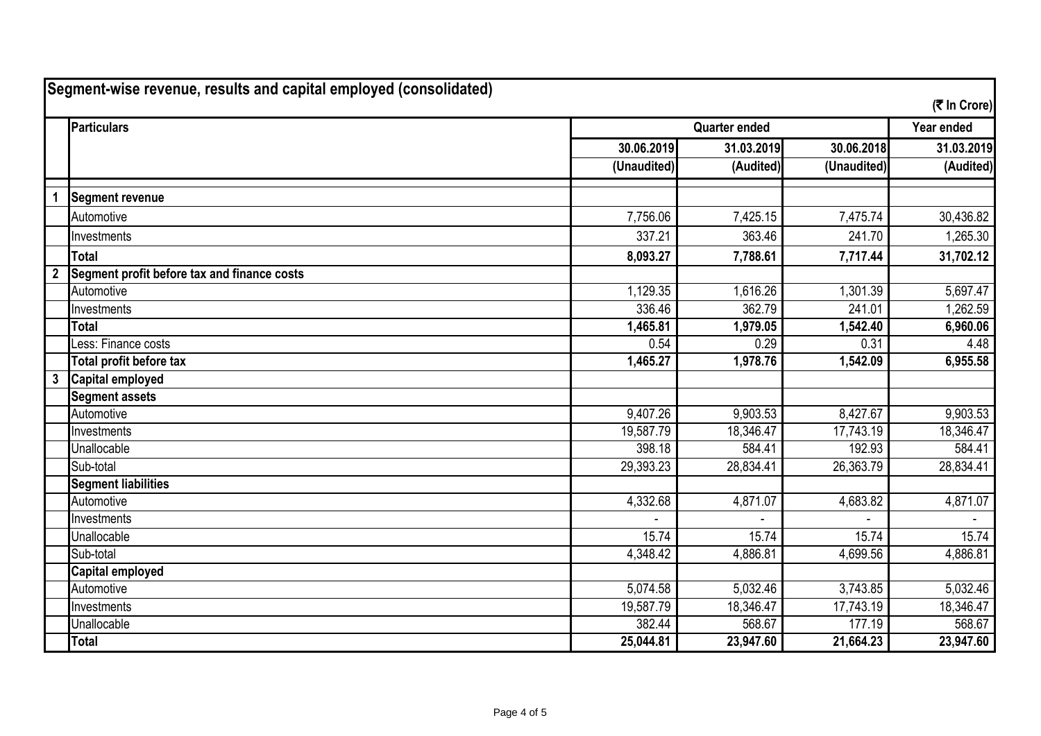| Segment-wise revenue, results and capital employed (consolidated)<br>(そ In Crore) |                                             |                          |            |             |            |  |
|-----------------------------------------------------------------------------------|---------------------------------------------|--------------------------|------------|-------------|------------|--|
|                                                                                   | <b>Particulars</b>                          | <b>Quarter ended</b>     |            |             | Year ended |  |
|                                                                                   |                                             | 30.06.2019               | 31.03.2019 | 30.06.2018  | 31.03.2019 |  |
|                                                                                   |                                             | $\overline{(Unaudited)}$ | (Audited)  | (Unaudited) | (Audited)  |  |
| $\mathbf{1}$                                                                      | <b>Segment revenue</b>                      |                          |            |             |            |  |
|                                                                                   | Automotive                                  | 7,756.06                 | 7,425.15   | 7,475.74    | 30,436.82  |  |
|                                                                                   | Investments                                 | 337.21                   | 363.46     | 241.70      | 1,265.30   |  |
|                                                                                   | <b>Total</b>                                | 8,093.27                 | 7,788.61   | 7,717.44    | 31,702.12  |  |
| $\overline{2}$                                                                    | Segment profit before tax and finance costs |                          |            |             |            |  |
|                                                                                   | Automotive                                  | 1,129.35                 | 1,616.26   | 1,301.39    | 5,697.47   |  |
|                                                                                   | Investments                                 | 336.46                   | 362.79     | 241.01      | 1,262.59   |  |
|                                                                                   | <b>Total</b>                                | 1,465.81                 | 1,979.05   | 1,542.40    | 6,960.06   |  |
|                                                                                   | Less: Finance costs                         | 0.54                     | 0.29       | 0.31        | 4.48       |  |
|                                                                                   | Total profit before tax                     | 1,465.27                 | 1,978.76   | 1,542.09    | 6,955.58   |  |
| $\mathbf{3}$                                                                      | <b>Capital employed</b>                     |                          |            |             |            |  |
|                                                                                   | <b>Segment assets</b>                       |                          |            |             |            |  |
|                                                                                   | Automotive                                  | 9,407.26                 | 9,903.53   | 8,427.67    | 9,903.53   |  |
|                                                                                   | Investments                                 | 19,587.79                | 18,346.47  | 17,743.19   | 18,346.47  |  |
|                                                                                   | <b>Unallocable</b>                          | 398.18                   | 584.41     | 192.93      | 584.41     |  |
|                                                                                   | Sub-total                                   | 29,393.23                | 28,834.41  | 26,363.79   | 28,834.41  |  |
|                                                                                   | <b>Segment liabilities</b>                  |                          |            |             |            |  |
|                                                                                   | Automotive                                  | 4,332.68                 | 4,871.07   | 4,683.82    | 4,871.07   |  |
|                                                                                   | Investments                                 |                          |            |             |            |  |
|                                                                                   | <b>Unallocable</b>                          | 15.74                    | 15.74      | 15.74       | 15.74      |  |
|                                                                                   | Sub-total                                   | 4,348.42                 | 4,886.81   | 4,699.56    | 4,886.81   |  |
|                                                                                   | <b>Capital employed</b>                     |                          |            |             |            |  |
|                                                                                   | Automotive                                  | 5,074.58                 | 5,032.46   | 3,743.85    | 5,032.46   |  |
|                                                                                   | Investments                                 | 19,587.79                | 18,346.47  | 17,743.19   | 18,346.47  |  |
|                                                                                   | Unallocable                                 | 382.44                   | 568.67     | 177.19      | 568.67     |  |
|                                                                                   | <b>Total</b>                                | 25,044.81                | 23,947.60  | 21,664.23   | 23,947.60  |  |